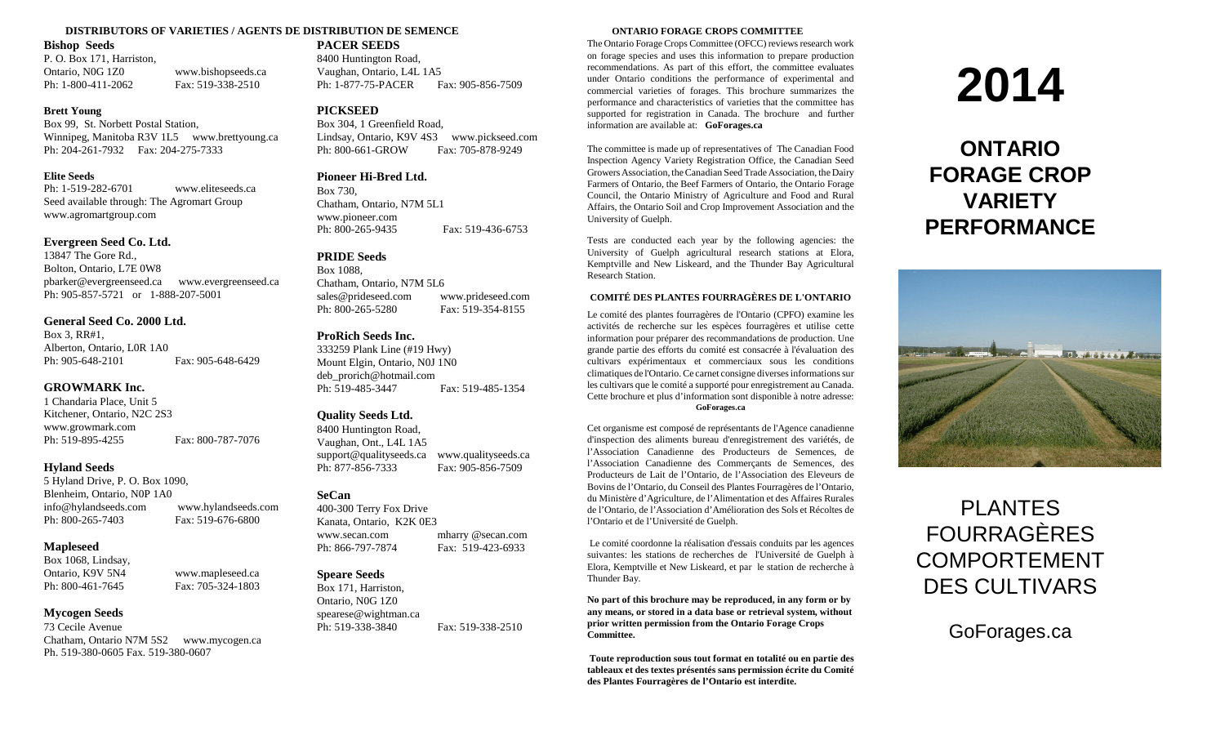## **DISTRIBUTORS OF VARIETIES / AGENTS DE DISTRIBUTION DE SEMENCE ONTARIO FORAGE CROPS COMMITTEE**

## **Bishop Seeds**

P. O. Box 171, Harriston, Ontario, N0G 1Z0 www.bishopseeds.ca Ph: 1-800-411-2062 Fax: 519-338-2510

## **Brett Young**

Box 99, St. Norbett Postal Station, Winnipeg, Manitoba R3V 1L5 www.brettyoung.ca Ph: 204-261-7932 Fax: 204-275-7333

## **Elite Seeds**

Ph: 1-519-282-6701 www.eliteseeds.ca Seed available through: The Agromart Group www.agromartgroup.com

## **Evergreen Seed Co. Ltd.**

13847 The Gore Rd., Bolton, Ontario, L7E 0W8 pbarker@evergreenseed.ca www.evergreenseed.ca Ph: 905-857-5721 or 1-888-207-5001

## **General Seed Co. 2000 Ltd.**

Box 3, RR#1, Alberton, Ontario, L0R 1A0 Ph: 905-648-2101 Fax: 905-648-6429

## **GROWMARK Inc.**

1 Chandaria Place, Unit 5 Kitchener, Ontario, N2C 2S3 www.growmark.com Ph: 519-895-4255 Fax: 800-787-7076

## **Hyland Seeds**

5 Hyland Drive, P. O. Box 1090, Blenheim, Ontario, N0P 1A0 info@hylandseeds.com www.hylandseeds.com Ph: 800-265-7403 Fax: 519-676-6800

## **Mapleseed**

Box 1068, Lindsay, Ontario, K9V 5N4 www.mapleseed.ca Ph: 800-461-7645 Fax: 705-324-1803

## **Mycogen Seeds**

73 Cecile Avenue Chatham, Ontario N7M 5S2 www.mycogen.ca Ph. 519-380-0605 Fax. 519-380-0607

**PACER SEEDS** 8400 Huntington Road, Vaughan, Ontario, L4L 1A5 Ph: 1-877-75-PACER Fax: 905-856-7509

## **PICKSEED**

Box 304, 1 Greenfield Road, Lindsay, Ontario, K9V 4S3 www.pickseed.com Ph: 800-661-GROW Fax: 705-878-9249

## **Pioneer Hi-Bred Ltd.**

Box 730, Chatham, Ontario, N7M 5L1 www.pioneer.com Ph: 800-265-9435 Fax: 519-436-6753

## **PRIDE Seeds**

Box 1088, Chatham, Ontario, N7M 5L6 sales@prideseed.com www.prideseed.com Ph: 800-265-5280 Fax: 519-354-8155

## **ProRich Seeds Inc.**

333259 Plank Line (#19 Hwy) Mount Elgin, Ontario, N0J 1N0 deb\_prorich@hotmail.com Ph: 519-485-3447 Fax: 519-485-1354

## **Quality Seeds Ltd.**

8400 Huntington Road, Vaughan, Ont., L4L 1A5 support@qualityseeds.ca www.qualityseeds.ca Ph: 877-856-7333 Fax: 905-856-7509

## **SeCan**

400-300 Terry Fox Drive Kanata, Ontario, K2K 0E3 www.secan.com mharry @secan.com Ph: 866-797-7874 Fax: 519-423-6933

## **Speare Seeds**

Box 171, Harriston, Ontario, N0G 1Z0 spearese@wightman.ca Ph: 519-338-3840 Fax: 519-338-2510

The Ontario Forage Crops Committee (OFCC) reviews research work on forage species and uses this information to prepare production recommendations. As part of this effort, the committee evaluates under Ontario conditions the performance of experimental and commercial varieties of forages. This brochure summarizes the performance and characteristics of varieties that the committee has supported for registration in Canada. The brochure and further information are available at: **GoForages.ca**

The committee is made up of representatives of The Canadian Food Inspection Agency Variety Registration Office, the Canadian Seed Growers Association, the Canadian Seed Trade Association, the Dairy Farmers of Ontario, the Beef Farmers of Ontario, the Ontario Forage Council, the Ontario Ministry of Agriculture and Food and Rural Affairs, the Ontario Soil and Crop Improvement Association and the University of Guelph.

Tests are conducted each year by the following agencies: the University of Guelph agricultural research stations at Elora, Kemptville and New Liskeard, and the Thunder Bay Agricultural Research Station.

## **COMITÉ DES PLANTES FOURRAGÈRES DE L'ONTARIO**

Le comité des plantes fourragères de l'Ontario (CPFO) examine les activités de recherche sur les espèces fourragères et utilise cette information pour préparer des recommandations de production. Une grande partie des efforts du comité est consacrée à l'évaluation des cultivars expérimentaux et commerciaux sous les conditions climatiques de l'Ontario. Ce carnet consigne diverses informations sur les cultivars que le comité a supporté pour enregistrement au Canada. Cette brochure et plus d'information sont disponible à notre adresse:

## **GoForages.ca**

Cet organisme est composé de représentants de l'Agence canadienne d'inspection des aliments bureau d'enregistrement des variétés, de l'Association Canadienne des Producteurs de Semences, de l'Association Canadienne des Commerçants de Semences, des Producteurs de Lait de l'Ontario, de l'Association des Eleveurs de Bovins de l'Ontario, du Conseil des Plantes Fourragères de l'Ontario, du Ministère d'Agriculture, de l'Alimentation et des Affaires Rurales de l'Ontario, de l'Association d'Amélioration des Sols et Récoltes de l'Ontario et de l'Université de Guelph.

Le comité coordonne la réalisation d'essais conduits par les agences suivantes: les stations de recherches de l'Université de Guelph à Elora, Kemptville et New Liskeard, et par le station de recherche à Thunder Bay.

**No part of this brochure may be reproduced, in any form or by any means, or stored in a data base or retrieval system, without prior written permission from the Ontario Forage Crops Committee.**

**Toute reproduction sous tout format en totalité ou en partie des tableaux et des textes présentés sans permission écrite du Comité des Plantes Fourragères de l'Ontario est interdite.**

# **2014**

## **ONTARIO FORAGE CROP VARIETY PERFORMANCE**



## PLANTES FOURRAGÈRES COMPORTEMENT DES CULTIVARS

GoForages.ca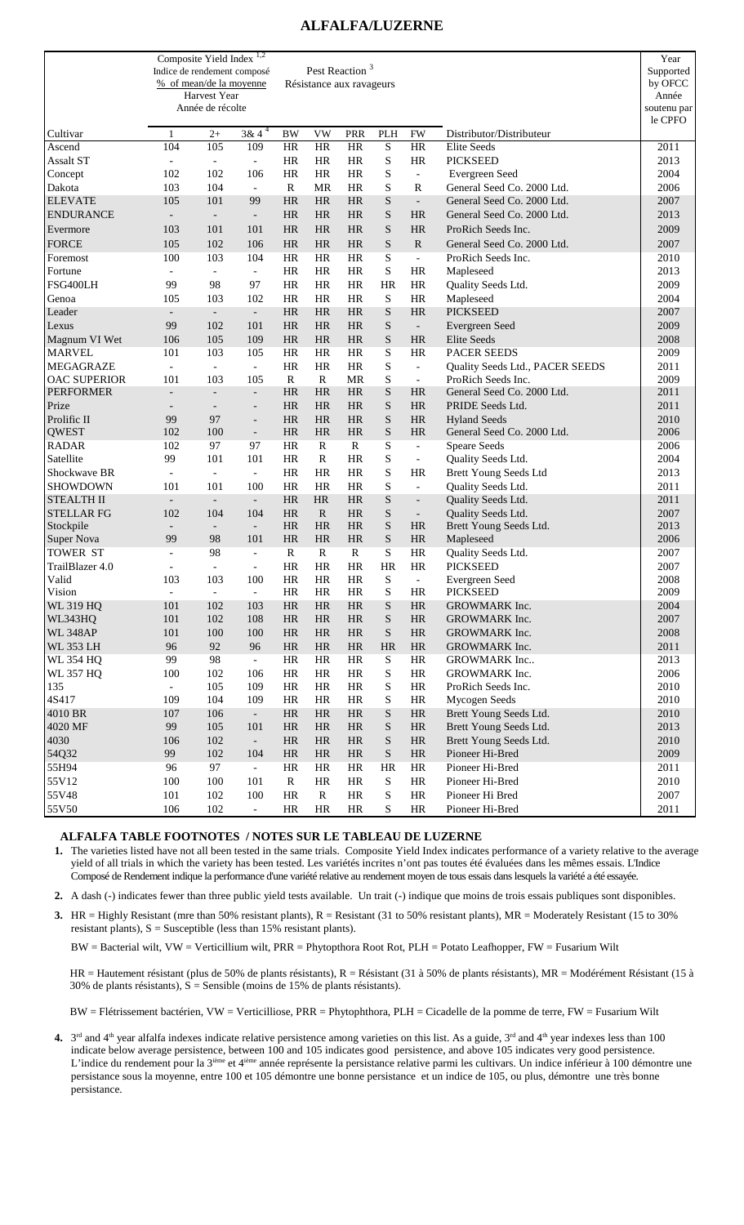## **ALFALFA/LUZERNE**

|                                | Indice de rendement composé     | Composite Yield Index <sup>1,2</sup><br>% of mean/de la moyenne<br>Harvest Year<br>Année de récolte |                                 |                 |                          | Pest Reaction <sup>3</sup><br>Résistance aux ravageurs |                            |                                       |                                              | Year<br>Supported<br>by OFCC<br>Année<br>soutenu par<br>le CPFO |
|--------------------------------|---------------------------------|-----------------------------------------------------------------------------------------------------|---------------------------------|-----------------|--------------------------|--------------------------------------------------------|----------------------------|---------------------------------------|----------------------------------------------|-----------------------------------------------------------------|
| Cultivar                       | $\mathbf{1}$                    | $2+$                                                                                                | $3\overline{8}$ 4 <sup>4</sup>  | <b>BW</b>       | <b>VW</b>                | <b>PRR</b>                                             | PLH                        | <b>FW</b>                             | Distributor/Distributeur                     |                                                                 |
| Ascend                         | 104                             | 105                                                                                                 | 109                             | HR              | <b>HR</b>                | <b>HR</b>                                              | S                          | <b>HR</b>                             | Elite Seeds                                  | 2011                                                            |
| <b>Assalt ST</b>               | $\overline{\phantom{a}}$        | $\blacksquare$                                                                                      | $\blacksquare$                  | HR              | <b>HR</b>                | <b>HR</b>                                              | S                          | <b>HR</b>                             | <b>PICKSEED</b>                              | 2013                                                            |
| Concept                        | 102                             | 102                                                                                                 | 106                             | <b>HR</b>       | <b>HR</b>                | <b>HR</b>                                              | S                          | $\overline{\phantom{a}}$              | Evergreen Seed                               | 2004                                                            |
| Dakota                         | 103                             | 104                                                                                                 | $\equiv$                        | $\mathbb{R}$    | MR                       | HR                                                     | S                          | $\mathbb{R}$                          | General Seed Co. 2000 Ltd.                   | 2006                                                            |
| <b>ELEVATE</b>                 | 105                             | 101                                                                                                 | 99                              | HR              | HR                       | <b>HR</b>                                              | ${\bf S}$                  | $\overline{\phantom{a}}$              | General Seed Co. 2000 Ltd.                   | 2007                                                            |
| <b>ENDURANCE</b>               | $\overline{a}$                  | $\blacksquare$                                                                                      | $\overline{\phantom{a}}$        | <b>HR</b>       | <b>HR</b>                | <b>HR</b>                                              | S                          | <b>HR</b>                             | General Seed Co. 2000 Ltd.                   | 2013                                                            |
| Evermore                       | 103                             | 101                                                                                                 | 101                             | HR              | HR                       | <b>HR</b>                                              | S                          | <b>HR</b>                             | ProRich Seeds Inc.                           | 2009                                                            |
| <b>FORCE</b>                   | 105                             | 102                                                                                                 | 106                             | HR              | <b>HR</b>                | <b>HR</b>                                              | $\mathbf S$                | ${\bf R}$                             | General Seed Co. 2000 Ltd.                   | 2007                                                            |
| Foremost                       | 100                             | 103                                                                                                 | 104                             | HR              | <b>HR</b>                | HR                                                     | S                          | $\overline{\phantom{a}}$              | ProRich Seeds Inc.                           | 2010                                                            |
| Fortune                        | $\blacksquare$                  | $\mathcal{L}$                                                                                       | $\equiv$                        | HR              | <b>HR</b>                | <b>HR</b>                                              | S                          | <b>HR</b>                             | Mapleseed                                    | 2013                                                            |
| FSG400LH                       | 99                              | 98                                                                                                  | 97                              | <b>HR</b>       | <b>HR</b>                | <b>HR</b>                                              | HR                         | HR                                    | Quality Seeds Ltd.                           | 2009                                                            |
| Genoa                          | 105                             | 103                                                                                                 | 102                             | <b>HR</b>       | <b>HR</b>                | <b>HR</b>                                              | S                          | HR                                    | Mapleseed                                    | 2004                                                            |
| Leader                         | $\overline{\phantom{a}}$        | $\overline{\phantom{a}}$                                                                            | $\overline{\phantom{a}}$        | <b>HR</b>       | HR                       | <b>HR</b>                                              | S                          | <b>HR</b>                             | <b>PICKSEED</b>                              | 2007                                                            |
| Lexus                          | 99                              | 102                                                                                                 | 101                             | HR              | HR                       | <b>HR</b>                                              | S                          | $\overline{\phantom{0}}$              | Evergreen Seed                               | 2009                                                            |
| Magnum VI Wet                  | 106                             | 105                                                                                                 | 109                             | HR              | HR                       | <b>HR</b>                                              | $\mathbf S$                | <b>HR</b>                             | <b>Elite Seeds</b>                           | 2008                                                            |
| <b>MARVEL</b>                  | 101                             | 103                                                                                                 | 105                             | HR              | <b>HR</b>                | HR                                                     | S                          | <b>HR</b>                             | <b>PACER SEEDS</b>                           | 2009                                                            |
| <b>MEGAGRAZE</b>               | $\overline{\phantom{a}}$        | $\mathbf{r}$                                                                                        | $\blacksquare$                  | HR              | <b>HR</b>                | <b>HR</b>                                              | S                          | $\overline{\phantom{a}}$              | Quality Seeds Ltd., PACER SEEDS              | 2011                                                            |
| <b>OAC SUPERIOR</b>            | 101                             | 103                                                                                                 | 105                             | $\mathbb{R}$    | $\mathbb{R}$             | <b>MR</b>                                              | S                          | $\overline{\phantom{a}}$              | ProRich Seeds Inc.                           | 2009                                                            |
| <b>PERFORMER</b>               | $\overline{\phantom{a}}$        | $\blacksquare$                                                                                      | $\blacksquare$                  | HR              | HR                       | <b>HR</b>                                              | S                          | <b>HR</b>                             | General Seed Co. 2000 Ltd.                   | 2011                                                            |
| Prize                          | $\overline{\phantom{a}}$        | $\overline{a}$                                                                                      | $\overline{\phantom{a}}$        | HR              | <b>HR</b>                | <b>HR</b>                                              | S                          | <b>HR</b>                             | PRIDE Seeds Ltd.                             | 2011                                                            |
| Prolific II                    | 99                              | 97                                                                                                  | $\overline{a}$                  | HR              | HR                       | <b>HR</b>                                              | $\mathbf S$                | <b>HR</b>                             | <b>Hyland Seeds</b>                          | 2010                                                            |
| <b>QWEST</b>                   | 102                             | 100                                                                                                 | $\overline{\phantom{a}}$        | HR              | HR                       | <b>HR</b>                                              | $\mathbf S$                | <b>HR</b>                             | General Seed Co. 2000 Ltd.                   | 2006                                                            |
| <b>RADAR</b>                   | 102                             | 97                                                                                                  | 97                              | <b>HR</b>       | R                        | R                                                      | S                          | $\overline{\phantom{a}}$              | <b>Speare Seeds</b>                          | 2006                                                            |
| Satellite                      | 99                              | 101                                                                                                 | 101                             | HR              | $\mathbb{R}$             | <b>HR</b>                                              | S                          | $\overline{\phantom{a}}$              | Quality Seeds Ltd.                           | 2004                                                            |
| Shockwave BR                   | $\overline{\phantom{a}}$        | $\bar{\phantom{a}}$                                                                                 | $\blacksquare$                  | <b>HR</b>       | HR                       | <b>HR</b>                                              | S                          | <b>HR</b>                             | <b>Brett Young Seeds Ltd</b>                 | 2013                                                            |
| SHOWDOWN                       | 101                             | 101                                                                                                 | 100                             | HR              | HR                       | HR                                                     | S<br>S                     | $\overline{\phantom{a}}$              | Quality Seeds Ltd.                           | 2011                                                            |
| <b>STEALTH II</b>              | $\overline{\phantom{a}}$        | $\overline{\phantom{a}}$                                                                            | $\overline{\phantom{a}}$        | <b>HR</b>       | <b>HR</b><br>$\mathbf R$ | <b>HR</b><br><b>HR</b>                                 |                            | $\overline{\phantom{a}}$              | Quality Seeds Ltd.                           | 2011                                                            |
| <b>STELLAR FG</b><br>Stockpile | 102<br>$\overline{\phantom{a}}$ | 104<br>$\blacksquare$                                                                               | 104<br>$\overline{\phantom{a}}$ | HR<br><b>HR</b> | <b>HR</b>                | <b>HR</b>                                              | $\mathbf S$<br>S           | $\overline{\phantom{a}}$<br><b>HR</b> | Quality Seeds Ltd.<br>Brett Young Seeds Ltd. | 2007<br>2013                                                    |
| Super Nova                     | 99                              | 98                                                                                                  | 101                             | HR              | HR                       | <b>HR</b>                                              | S                          | <b>HR</b>                             | Mapleseed                                    | 2006                                                            |
| TOWER ST                       | $\overline{a}$                  | 98                                                                                                  | $\blacksquare$                  | $\mathbb{R}$    | $\mathbb{R}$             | R                                                      | S                          | HR                                    | Quality Seeds Ltd.                           | 2007                                                            |
| TrailBlazer 4.0                |                                 | $\overline{\phantom{a}}$                                                                            | $\overline{\phantom{a}}$        | HR              | HR                       | HR                                                     | <b>HR</b>                  | <b>HR</b>                             | <b>PICKSEED</b>                              | 2007                                                            |
| Valid                          | 103                             | 103                                                                                                 | 100                             | HR              | HR                       | HR                                                     | S                          | $\overline{a}$                        | Evergreen Seed                               | 2008                                                            |
| Vision                         | $\overline{\phantom{a}}$        | $\overline{\phantom{a}}$                                                                            | $\overline{\phantom{a}}$        | HR              | HR                       | HR                                                     | S                          | HR                                    | <b>PICKSEED</b>                              | 2009                                                            |
| <b>WL 319 HQ</b>               | 101                             | 102                                                                                                 | 103                             | HR              | $\rm{HR}$                | HR                                                     | ${\bf S}$                  | HR                                    | GROWMARK Inc.                                | 2004                                                            |
| WL343HQ                        | 101                             | 102                                                                                                 | 108                             | HR              | HR                       | HR                                                     | S                          | HR                                    | GROWMARK Inc.                                | 2007                                                            |
| <b>WL 348AP</b>                | 101                             | 100                                                                                                 | 100                             | HR              | HR                       | HR                                                     | S                          | HR                                    | GROWMARK Inc.                                | 2008                                                            |
| <b>WL 353 LH</b>               | 96                              | 92                                                                                                  | 96                              | HR              | $\rm{HR}$                | HR                                                     | HR                         | HR                                    | GROWMARK Inc.                                | 2011                                                            |
| <b>WL 354 HQ</b>               | 99                              | 98                                                                                                  | $\overline{\phantom{a}}$        | HR              | HR                       | HR                                                     | S                          | HR                                    | GROWMARK Inc                                 | 2013                                                            |
| <b>WL 357 HQ</b>               | 100                             | 102                                                                                                 | 106                             | HR              | HR                       | HR                                                     | $\mathbf S$                | HR                                    | GROWMARK Inc.                                | 2006                                                            |
| 135                            | $\overline{\phantom{a}}$        | 105                                                                                                 | 109                             | HR              | HR                       | $\rm{HR}$                                              | S                          | HR                                    | ProRich Seeds Inc.                           | 2010                                                            |
| 4S417                          | 109                             | 104                                                                                                 | 109                             | HR              | HR                       | HR                                                     | S                          | HR                                    | Mycogen Seeds                                | 2010                                                            |
| 4010 BR                        | 107                             | 106                                                                                                 | $\overline{\phantom{a}}$        | HR              | HR                       | HR                                                     | S                          | <b>HR</b>                             | Brett Young Seeds Ltd.                       | 2010                                                            |
| 4020 MF                        | 99                              | 105                                                                                                 | 101                             | HR              | HR                       | HR                                                     | $\boldsymbol{\mathcal{S}}$ | HR                                    | Brett Young Seeds Ltd.                       | 2013                                                            |
| 4030                           | 106                             | 102                                                                                                 | $\blacksquare$                  | HR              | HR                       | HR                                                     | $\boldsymbol{\mathcal{S}}$ | HR                                    | Brett Young Seeds Ltd.                       | 2010                                                            |
| 54Q32                          | 99                              | 102                                                                                                 | 104                             | HR              | HR                       | $\rm{HR}$                                              | $\boldsymbol{\mathcal{S}}$ | HR                                    | Pioneer Hi-Bred                              | 2009                                                            |
| 55H94                          | 96                              | 97                                                                                                  | $\overline{\phantom{a}}$        | HR              | HR                       | HR                                                     | <b>HR</b>                  | HR                                    | Pioneer Hi-Bred                              | 2011                                                            |
| 55V12                          | 100                             | 100                                                                                                 | 101                             | $\mathbf R$     | HR                       | HR                                                     | S                          | HR                                    | Pioneer Hi-Bred                              | 2010                                                            |
| 55V48                          | 101                             | 102                                                                                                 | 100                             | HR              | ${\bf R}$                | $\rm{HR}$                                              | S                          | HR                                    | Pioneer Hi Bred                              | 2007                                                            |
| 55V50                          | 106                             | 102                                                                                                 | $\overline{\phantom{a}}$        | HR              | HR                       | HR                                                     | S                          | HR                                    | Pioneer Hi-Bred                              | 2011                                                            |

## **ALFALFA TABLE FOOTNOTES / NOTES SUR LE TABLEAU DE LUZERNE**

**1.** The varieties listed have not all been tested in the same trials. Composite Yield Index indicates performance of a variety relative to the average yield of all trials in which the variety has been tested. Les variétés incrites n'ont pas toutes été évaluées dans les mêmes essais. L'Indice Composé de Rendement indique la performance d'une variété relative au rendement moyen de tous essais dans lesquels la variété a été essayée.

- **2.** A dash (-) indicates fewer than three public yield tests available. Un trait (-) indique que moins de trois essais publiques sont disponibles.
- **3.** HR = Highly Resistant (mre than 50% resistant plants),  $R =$  Resistant (31 to 50% resistant plants),  $MR =$  Moderately Resistant (15 to 30%) resistant plants),  $S =$  Susceptible (less than 15% resistant plants).

BW = Bacterial wilt, VW = Verticillium wilt, PRR = Phytopthora Root Rot, PLH = Potato Leafhopper, FW = Fusarium Wilt

HR = Hautement résistant (plus de 50% de plants résistants), R = Résistant (31 à 50% de plants résistants), MR = Modérément Résistant (15 à 30% de plants résistants), S = Sensible (moins de 15% de plants résistants).

BW = Flétrissement bactérien, VW = Verticilliose, PRR = Phytophthora, PLH = Cicadelle de la pomme de terre, FW = Fusarium Wilt

**4.**  $3<sup>rd</sup>$  and 4<sup>th</sup> year alfalfa indexes indicate relative persistence among varieties on this list. As a guide,  $3<sup>rd</sup>$  and 4<sup>th</sup> year indexes less than 100 indicate below average persistence, between 100 and 105 indicates good persistence, and above 105 indicates very good persistence. L'indice du rendement pour la 3<sup>ième</sup> et 4<sup>ième</sup> année représente la persistance relative parmi les cultivars. Un indice inférieur à 100 démontre une persistance sous la moyenne, entre 100 et 105 démontre une bonne persistance et un indice de 105, ou plus, démontre une très bonne persistance.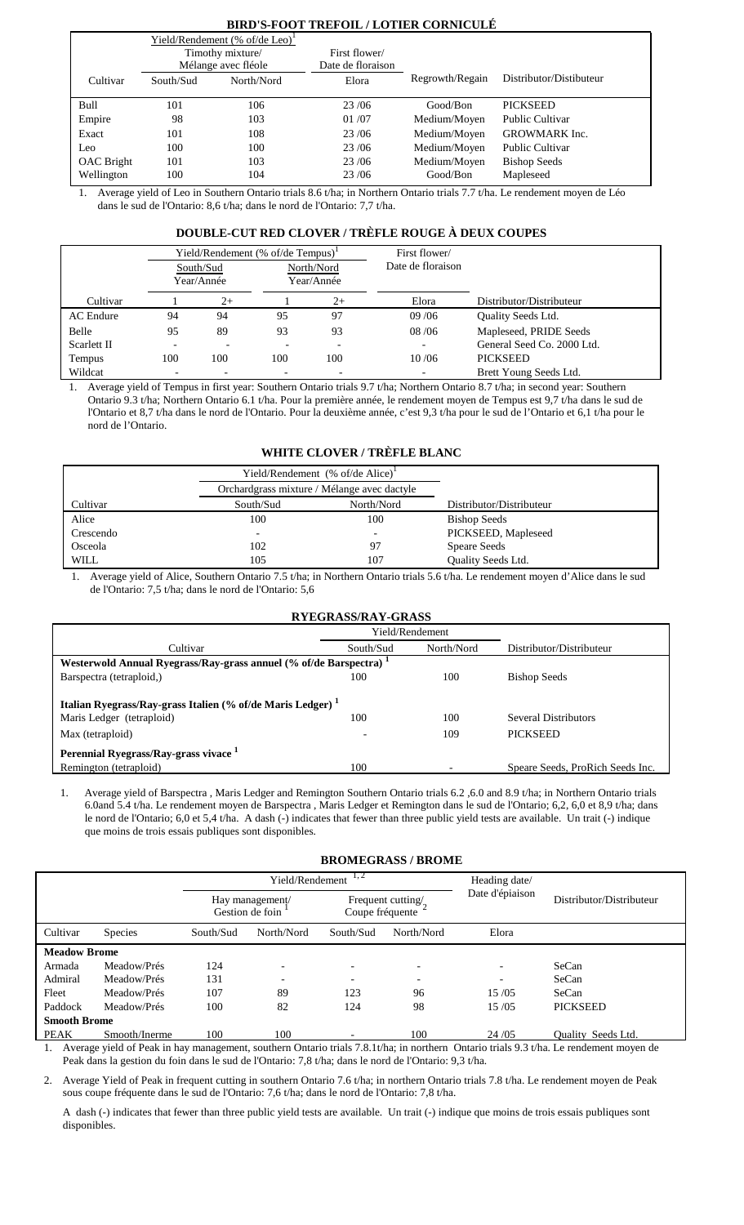## **BIRD'S-FOOT TREFOIL / LOTIER CORNICULÉ**

|                   |           | Yield/Rendement (% of/de Leo) <sup>1</sup> |                   |                 |                         |
|-------------------|-----------|--------------------------------------------|-------------------|-----------------|-------------------------|
|                   |           | Timothy mixture/                           | First flower/     |                 |                         |
|                   |           | Mélange avec fléole                        | Date de floraison |                 |                         |
| Cultivar          | South/Sud | North/Nord                                 | Elora             | Regrowth/Regain | Distributor/Distibuteur |
|                   |           |                                            |                   |                 |                         |
| Bull              | 101       | 106                                        | 23/06             | Good/Bon        | <b>PICKSEED</b>         |
| Empire            | 98        | 103                                        | 01/07             | Medium/Moyen    | <b>Public Cultivar</b>  |
| Exact             | 101       | 108                                        | 23/06             | Medium/Moyen    | <b>GROWMARK</b> Inc.    |
| Leo               | 100       | 100                                        | 23/06             | Medium/Moyen    | <b>Public Cultivar</b>  |
| <b>OAC</b> Bright | 101       | 103                                        | 23/06             | Medium/Moyen    | <b>Bishop Seeds</b>     |
| Wellington        | 100       | 104                                        | 23/06             | Good/Bon        | Mapleseed               |

1. Average yield of Leo in Southern Ontario trials 8.6 t/ha; in Northern Ontario trials 7.7 t/ha. Le rendement moyen de Léo dans le sud de l'Ontario: 8,6 t/ha; dans le nord de l'Ontario: 7,7 t/ha.

## **DOUBLE-CUT RED CLOVER / TRÈFLE ROUGE À DEUX COUPES**

|                  | Yield/Rendement (% of/de Tempus) |                          |            |                          | First flower/     |                            |
|------------------|----------------------------------|--------------------------|------------|--------------------------|-------------------|----------------------------|
|                  |                                  | South/Sud                |            | North/Nord               | Date de floraison |                            |
|                  |                                  | Year/Année               | Year/Année |                          |                   |                            |
| Cultivar         |                                  | $2+$                     |            | $2+$                     | Elora             | Distributor/Distributeur   |
| <b>AC</b> Endure | 94                               | 94                       | 95         | 97                       | 09/06             | Quality Seeds Ltd.         |
| Belle            | 95                               | 89                       | 93         | 93                       | 08/06             | Mapleseed, PRIDE Seeds     |
| Scarlett II      |                                  | $\overline{\phantom{0}}$ |            | $\overline{\phantom{a}}$ |                   | General Seed Co. 2000 Ltd. |
| Tempus           | 100                              | 100                      | 100        | 100                      | 10/06             | <b>PICKSEED</b>            |
| Wildcat          |                                  |                          |            |                          |                   | Brett Young Seeds Ltd.     |

1. Average yield of Tempus in first year: Southern Ontario trials 9.7 t/ha; Northern Ontario 8.7 t/ha; in second year: Southern Ontario 9.3 t/ha; Northern Ontario 6.1 t/ha. Pour la première année, le rendement moyen de Tempus est 9,7 t/ha dans le sud de l'Ontario et 8,7 t/ha dans le nord de l'Ontario. Pour la deuxième année, c'est 9,3 t/ha pour le sud de l'Ontario et 6,1 t/ha pour le nord de l'Ontario.

## **WHITE CLOVER / TRÈFLE BLANC**

|             |           | Yield/Rendement $%$ of/de Alice) <sup>1</sup> |                          |
|-------------|-----------|-----------------------------------------------|--------------------------|
|             |           | Orchardgrass mixture / Mélange avec dactyle   |                          |
| Cultivar    | South/Sud | North/Nord                                    | Distributor/Distributeur |
| Alice       | 100       | 100                                           | <b>Bishop Seeds</b>      |
| Crescendo   |           |                                               | PICKSEED, Mapleseed      |
| Osceola     | 102       | 97                                            | <b>Speare Seeds</b>      |
| <b>WILL</b> | 105       | 107                                           | Quality Seeds Ltd.       |

1. Average yield of Alice, Southern Ontario 7.5 t/ha; in Northern Ontario trials 5.6 t/ha. Le rendement moyen d'Alice dans le sud de l'Ontario: 7,5 t/ha; dans le nord de l'Ontario: 5,6

| RYEGRASS/RAY-GRASS                                                            |                                                                        |                 |                                  |  |  |  |  |
|-------------------------------------------------------------------------------|------------------------------------------------------------------------|-----------------|----------------------------------|--|--|--|--|
|                                                                               |                                                                        | Yield/Rendement |                                  |  |  |  |  |
| Cultivar                                                                      | South/Sud                                                              | North/Nord      | Distributor/Distributeur         |  |  |  |  |
| Westerwold Annual Ryegrass/Ray-grass annuel (% of/de Barspectra) <sup>1</sup> |                                                                        |                 |                                  |  |  |  |  |
| Barspectra (tetraploid,)                                                      | 100                                                                    | 100             | <b>Bishop Seeds</b>              |  |  |  |  |
|                                                                               | Italian Ryegrass/Ray-grass Italien (% of/de Maris Ledger) <sup>1</sup> |                 |                                  |  |  |  |  |
| Maris Ledger (tetraploid)                                                     | 100                                                                    | 100             | <b>Several Distributors</b>      |  |  |  |  |
| Max (tetraploid)                                                              |                                                                        | 109             | <b>PICKSEED</b>                  |  |  |  |  |
| Perennial Ryegrass/Ray-grass vivace <sup>1</sup>                              |                                                                        |                 |                                  |  |  |  |  |
| Remington (tetraploid)                                                        | 100                                                                    |                 | Speare Seeds, ProRich Seeds Inc. |  |  |  |  |

1. Average yield of Barspectra , Maris Ledger and Remington Southern Ontario trials 6.2 ,6.0 and 8.9 t/ha; in Northern Ontario trials 6.0and 5.4 t/ha. Le rendement moyen de Barspectra , Maris Ledger et Remington dans le sud de l'Ontario; 6,2, 6,0 et 8,9 t/ha; dans le nord de l'Ontario; 6,0 et 5,4 t/ha. A dash (-) indicates that fewer than three public yield tests are available. Un trait (-) indique que moins de trois essais publiques sont disponibles.

|                     | <b>BROMEGRASS / BROME</b> |           |                                    |                          |                          |                 |                           |  |
|---------------------|---------------------------|-----------|------------------------------------|--------------------------|--------------------------|-----------------|---------------------------|--|
|                     |                           |           | Yield/Rendement                    | 1, 2                     | Heading date/            |                 |                           |  |
|                     |                           |           | Hay management/<br>Gestion de foin | Coupe fréquente          | Frequent cutting/        | Date d'épiaison | Distributor/Distributeur  |  |
| Cultivar            | <b>Species</b>            | South/Sud | North/Nord                         | South/Sud                | North/Nord               | Elora           |                           |  |
| <b>Meadow Brome</b> |                           |           |                                    |                          |                          |                 |                           |  |
| Armada              | Meadow/Prés               | 124       | ٠                                  | $\overline{\phantom{0}}$ | $\overline{\phantom{0}}$ |                 | SeCan                     |  |
| Admiral             | Meadow/Prés               | 131       | $\overline{\phantom{a}}$           | $\overline{\phantom{a}}$ | $\overline{\phantom{0}}$ |                 | SeCan                     |  |
| Fleet               | Meadow/Prés               | 107       | 89                                 | 123                      | 96                       | 15/05           | SeCan                     |  |
| Paddock             | Meadow/Prés               | 100       | 82                                 | 124                      | 98                       | 15/05           | <b>PICKSEED</b>           |  |
| <b>Smooth Brome</b> |                           |           |                                    |                          |                          |                 |                           |  |
| PEAK                | Smooth/Inerme             | 100       | 100                                | $\overline{\phantom{0}}$ | 100                      | 24/05           | <b>Ouality Seeds Ltd.</b> |  |

1. Average yield of Peak in hay management, southern Ontario trials 7.8.1t/ha; in northern Ontario trials 9.3 t/ha. Le rendement moyen de Peak dans la gestion du foin dans le sud de l'Ontario: 7,8 t/ha; dans le nord de l'Ontario: 9,3 t/ha.

2. Average Yield of Peak in frequent cutting in southern Ontario 7.6 t/ha; in northern Ontario trials 7.8 t/ha. Le rendement moyen de Peak sous coupe fréquente dans le sud de l'Ontario: 7,6 t/ha; dans le nord de l'Ontario: 7,8 t/ha.

A dash (-) indicates that fewer than three public yield tests are available. Un trait (-) indique que moins de trois essais publiques sont disponibles.